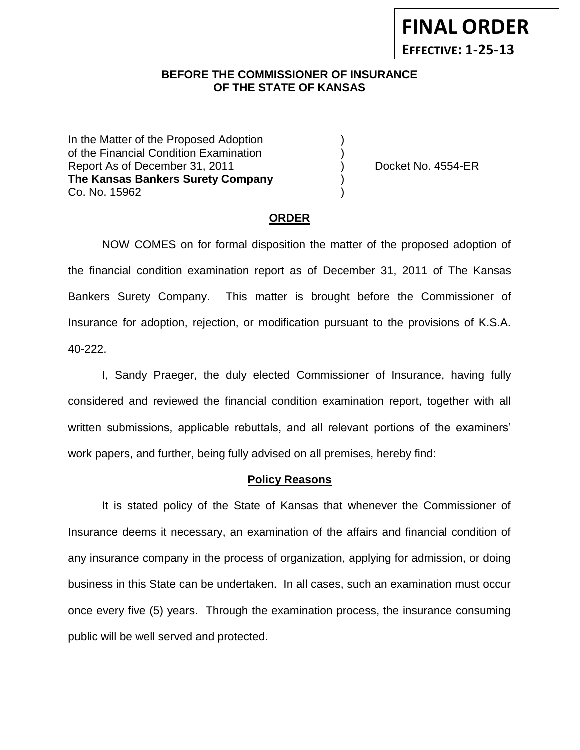## **BEFORE THE COMMISSIONER OF INSURANCE** *-12***OF THE STATE OF KANSAS**

In the Matter of the Proposed Adoption of the Financial Condition Examination ) Report As of December 31, 2011 (and Separate Asset No. 4554-ER **The Kansas Bankers Surety Company** ) Co. No. 15962 )

**FINAL ORDER**

**EFFECTIVE: 1-25-13**

#### **ORDER**

NOW COMES on for formal disposition the matter of the proposed adoption of the financial condition examination report as of December 31, 2011 of The Kansas Bankers Surety Company. This matter is brought before the Commissioner of Insurance for adoption, rejection, or modification pursuant to the provisions of K.S.A. 40-222.

I, Sandy Praeger, the duly elected Commissioner of Insurance, having fully considered and reviewed the financial condition examination report, together with all written submissions, applicable rebuttals, and all relevant portions of the examiners' work papers, and further, being fully advised on all premises, hereby find:

#### **Policy Reasons**

It is stated policy of the State of Kansas that whenever the Commissioner of Insurance deems it necessary, an examination of the affairs and financial condition of any insurance company in the process of organization, applying for admission, or doing business in this State can be undertaken. In all cases, such an examination must occur once every five (5) years. Through the examination process, the insurance consuming public will be well served and protected.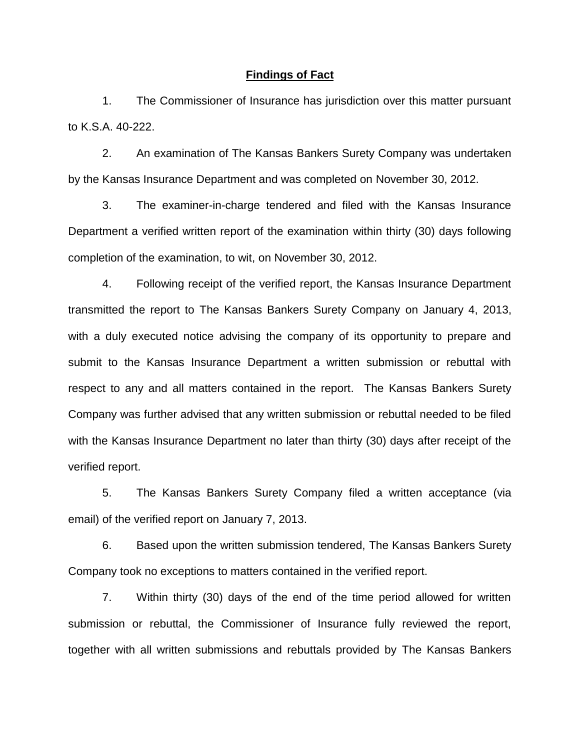#### **Findings of Fact**

1. The Commissioner of Insurance has jurisdiction over this matter pursuant to K.S.A. 40-222.

2. An examination of The Kansas Bankers Surety Company was undertaken by the Kansas Insurance Department and was completed on November 30, 2012.

3. The examiner-in-charge tendered and filed with the Kansas Insurance Department a verified written report of the examination within thirty (30) days following completion of the examination, to wit, on November 30, 2012.

4. Following receipt of the verified report, the Kansas Insurance Department transmitted the report to The Kansas Bankers Surety Company on January 4, 2013, with a duly executed notice advising the company of its opportunity to prepare and submit to the Kansas Insurance Department a written submission or rebuttal with respect to any and all matters contained in the report. The Kansas Bankers Surety Company was further advised that any written submission or rebuttal needed to be filed with the Kansas Insurance Department no later than thirty (30) days after receipt of the verified report.

5. The Kansas Bankers Surety Company filed a written acceptance (via email) of the verified report on January 7, 2013.

6. Based upon the written submission tendered, The Kansas Bankers Surety Company took no exceptions to matters contained in the verified report.

7. Within thirty (30) days of the end of the time period allowed for written submission or rebuttal, the Commissioner of Insurance fully reviewed the report, together with all written submissions and rebuttals provided by The Kansas Bankers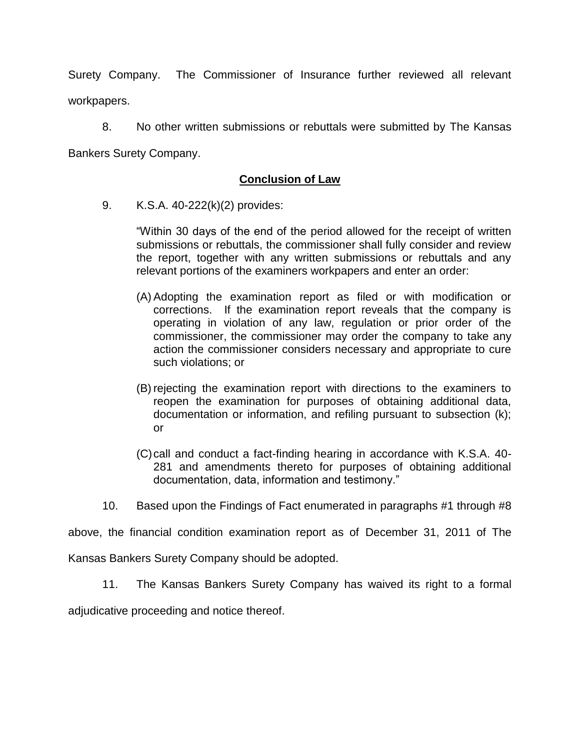Surety Company. The Commissioner of Insurance further reviewed all relevant workpapers.

8. No other written submissions or rebuttals were submitted by The Kansas Bankers Surety Company.

# **Conclusion of Law**

9. K.S.A. 40-222(k)(2) provides:

"Within 30 days of the end of the period allowed for the receipt of written submissions or rebuttals, the commissioner shall fully consider and review the report, together with any written submissions or rebuttals and any relevant portions of the examiners workpapers and enter an order:

- (A) Adopting the examination report as filed or with modification or corrections. If the examination report reveals that the company is operating in violation of any law, regulation or prior order of the commissioner, the commissioner may order the company to take any action the commissioner considers necessary and appropriate to cure such violations; or
- (B) rejecting the examination report with directions to the examiners to reopen the examination for purposes of obtaining additional data, documentation or information, and refiling pursuant to subsection (k); or
- (C)call and conduct a fact-finding hearing in accordance with K.S.A. 40- 281 and amendments thereto for purposes of obtaining additional documentation, data, information and testimony."
- 10. Based upon the Findings of Fact enumerated in paragraphs #1 through #8

above, the financial condition examination report as of December 31, 2011 of The

Kansas Bankers Surety Company should be adopted.

11. The Kansas Bankers Surety Company has waived its right to a formal

adjudicative proceeding and notice thereof.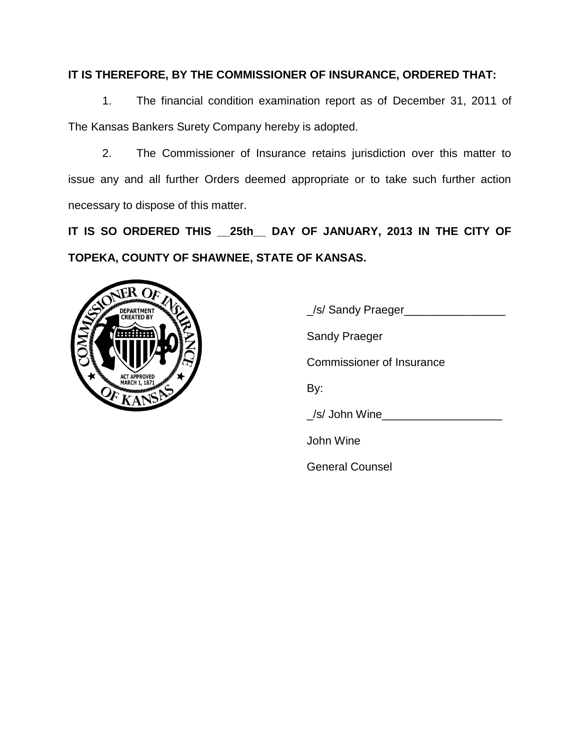# **IT IS THEREFORE, BY THE COMMISSIONER OF INSURANCE, ORDERED THAT:**

1. The financial condition examination report as of December 31, 2011 of The Kansas Bankers Surety Company hereby is adopted.

2. The Commissioner of Insurance retains jurisdiction over this matter to issue any and all further Orders deemed appropriate or to take such further action necessary to dispose of this matter.

**IT IS SO ORDERED THIS \_\_25th\_\_ DAY OF JANUARY, 2013 IN THE CITY OF TOPEKA, COUNTY OF SHAWNEE, STATE OF KANSAS.**



\_/s/ Sandy Praeger\_\_\_\_\_\_\_\_\_\_\_\_\_\_\_\_ Sandy Praeger Commissioner of Insurance By: \_/s/ John Wine\_\_\_\_\_\_\_\_\_\_\_\_\_\_\_\_\_\_\_ John Wine General Counsel